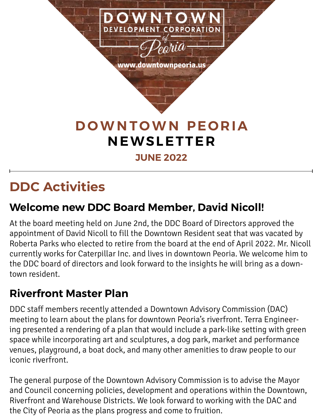

## **DDC Activities**

### **Welcome new DDC Board Member, David Nicoll!**

At the board meeting held on June 2nd, the DDC Board of Directors approved the appointment of David Nicoll to fill the Downtown Resident seat that was vacated by Roberta Parks who elected to retire from the board at the end of April 2022. Mr. Nicoll currently works for Caterpillar Inc. and lives in downtown Peoria. We welcome him to the DDC board of directors and look forward to the insights he will bring as a downtown resident.

### **Riverfront Master Plan**

DDC staff members recently attended a Downtown Advisory Commission (DAC) meeting to learn about the plans for downtown Peoria's riverfront. Terra Engineering presented a rendering of a plan that would include a park-like setting with green space while incorporating art and sculptures, a dog park, market and performance venues, playground, a boat dock, and many other amenities to draw people to our iconic riverfront.

The general purpose of the Downtown Advisory Commission is to advise the Mayor and Council concerning policies, development and operations within the Downtown, Riverfront and Warehouse Districts. We look forward to working with the DAC and the City of Peoria as the plans progress and come to fruition.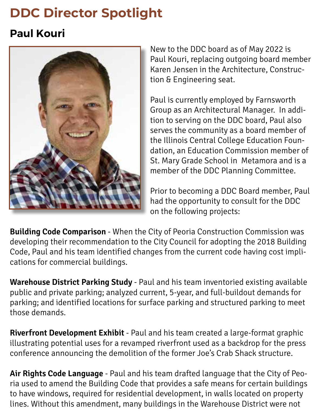## **DDC Director Spotlight**

### **Paul Kouri**



New to the DDC board as of May 2022 is Paul Kouri, replacing outgoing board member Karen Jensen in the Architecture, Construction & Engineering seat.

Paul is currently employed by Farnsworth Group as an Architectural Manager. In addition to serving on the DDC board, Paul also serves the community as a board member of the Illinois Central College Education Foundation, an Education Commission member of St. Mary Grade School in Metamora and is a member of the DDC Planning Committee.

Prior to becoming a DDC Board member, Paul had the opportunity to consult for the DDC on the following projects:

**Building Code Comparison** - When the City of Peoria Construction Commission was developing their recommendation to the City Council for adopting the 2018 Building Code, Paul and his team identified changes from the current code having cost implications for commercial buildings.

**Warehouse District Parking Study** - Paul and his team inventoried existing available public and private parking; analyzed current, 5-year, and full-buildout demands for parking; and identified locations for surface parking and structured parking to meet those demands.

**Riverfront Development Exhibit** - Paul and his team created a large-format graphic illustrating potential uses for a revamped riverfront used as a backdrop for the press conference announcing the demolition of the former Joe's Crab Shack structure.

**Air Rights Code Language** - Paul and his team drafted language that the City of Peoria used to amend the Building Code that provides a safe means for certain buildings to have windows, required for residential development, in walls located on property lines. Without this amendment, many buildings in the Warehouse District were not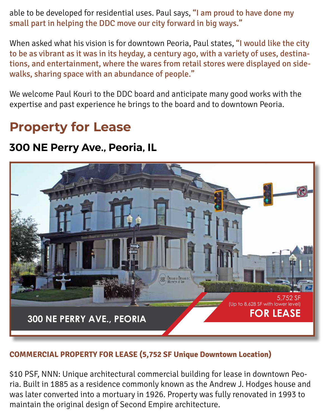able to be developed for residential uses. Paul says, "I am proud to have done my small part in helping the DDC move our city forward in big ways."

When asked what his vision is for downtown Peoria, Paul states, "I would like the city to be as vibrant as it was in its heyday, a century ago, with a variety of uses, destinations, and entertainment, where the wares from retail stores were displayed on sidewalks, sharing space with an abundance of people."

We welcome Paul Kouri to the DDC board and anticipate many good works with the expertise and past experience he brings to the board and to downtown Peoria.

### **Property for Lease**

#### **300 NE Perry Ave., Peoria, IL**



#### COMMERCIAL PROPERTY FOR LEASE (5,752 SF Unique Downtown Location) CELL: 309-643-0717

\$10 PSF, NNN: Unique architectural commercial building for lease in downtown Peoria. Built in 1885 as a residence commonly known as the Andrew J. Hodges house and was later converted into a mortuary in 1926. Property was fully renovated in 1993 to maintain the original design of Second Empire architecture. In downtown Pe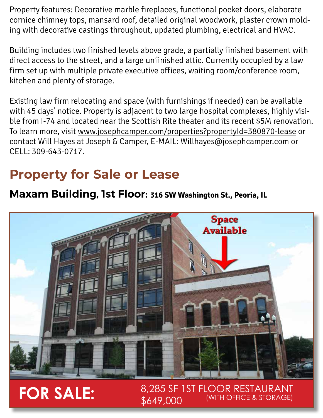Property features: Decorative marble fireplaces, functional pocket doors, elaborate cornice chimney tops, mansard roof, detailed original woodwork, plaster crown molding with decorative castings throughout, updated plumbing, electrical and HVAC.

Building includes two finished levels above grade, a partially finished basement with direct access to the street, and a large unfinished attic. Currently occupied by a law firm set up with multiple private executive offices, waiting room/conference room, kitchen and plenty of storage.

Existing law firm relocating and space (with furnishings if needed) can be available with 45 days' notice. Property is adjacent to two large hospital complexes, highly visible from I-74 and located near the Scottish Rite theater and its recent \$5M renovation. To learn more, visit www.josephcamper.com/properties?propertyId=380870-lease or contact Will Hayes at Joseph & Camper, E-MAIL: Willhayes@josephcamper.com or CELL: 309-643-0717.

## **Property for Sale or Lease**

### **Maxam Building, 1st Floor: 316 SW Washington St., Peoria, IL**



# **FOR SALE:**  $\frac{8,285 \text{ yr}}{6649,000}$

8,285 SF 1ST FLOOR RESTAURANT (WITH OFFICE & STORAGE)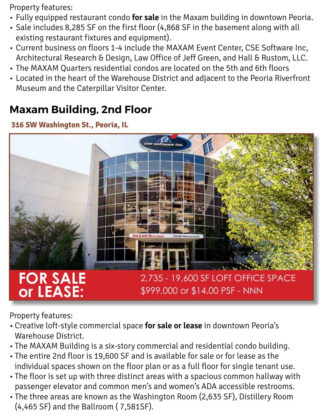Property features:

- Fully equipped restaurant condo **for sale** in the Maxam building in downtown Peoria.
- Sale includes 8,285 SF on the first floor (4,868 SF in the basement along with all existing restaurant fixtures and equipment).
- Current business on floors 1-4 include the MAXAM Event Center, CSE Software Inc, Architectural Research & Design, Law Office of Jeff Green, and Hall & Rustom, LLC.
- The MAXAM Quarters residential condos are located on the 5th and 6th floors
- Located in the heart of the Warehouse District and adjacent to the Peoria Riverfront Museum and the Caterpillar Visitor Center.

#### **Maxam Building, 2nd Floor** axam bananiy, 2nd Floor

#### **316 SW Washington St., Peoria, IL**



Property features: proxty footures:

- Creative loft-style commercial space for sale or lease in downtown Peoria's Warehouse District. alive ion-style commercial spac
- The MAXAM Building is a six-story commercial and residential condo building. rie MAXAM Buitaing is a six-story col
- The entire 2nd floor is 19,600 SF and is available for sale or for lease as the individual spaces shown on the floor plan or as a full floor for single tenant use. entire zhu hoor is 19,000 SF and riqual spaces shown on the noo
- The floor is set up with three distinct areas with a spacious common hallway with passenger elevator and common men's and women's ADA accessible restrooms. womens ADA accessible restrooms.
- The three areas are known as the Washington Room (2,635 SF), Distillery Room  $(4,465 SF)$  and the Ballroom (7,581SF). three areas are known as the W  $4,400$  or  $\mu$  and the Dallibon (  $7,0015$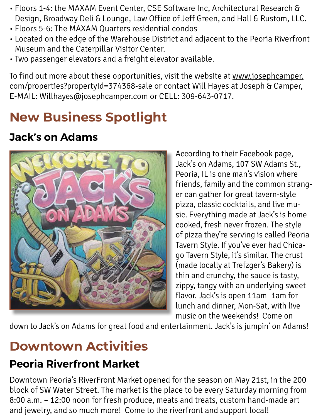- Floors 1-4: the MAXAM Event Center, CSE Software Inc, Architectural Research & Design, Broadway Deli & Lounge, Law Office of Jeff Green, and Hall & Rustom, LLC.
- Floors 5-6: The MAXAM Quarters residential condos
- Located on the edge of the Warehouse District and adjacent to the Peoria Riverfront Museum and the Caterpillar Visitor Center.
- Two passenger elevators and a freight elevator available.

To find out more about these opportunities, visit the website at www.josephcamper. com/properties?propertyId=374368-sale or contact Will Hayes at Joseph & Camper, E-MAIL: Willhayes@josephcamper.com or CELL: 309-643-0717.

## **New Business Spotlight**

### **Jack's on Adams**



According to their Facebook page, Jack's on Adams, 107 SW Adams St., Peoria, IL is one man's vision where friends, family and the common stranger can gather for great tavern-style pizza, classic cocktails, and live music. Everything made at Jack's is home cooked, fresh never frozen. The style of pizza they're serving is called Peoria Tavern Style. If you've ever had Chicago Tavern Style, it's similar. The crust (made locally at Trefzger's Bakery) is thin and crunchy, the sauce is tasty, zippy, tangy with an underlying sweet flavor. Jack's is open 11am–1am for lunch and dinner, Mon-Sat, with live music on the weekends! Come on

down to Jack's on Adams for great food and entertainment. Jack's is jumpin' on Adams!

## **Downtown Activities**

### **Peoria Riverfront Market**

Downtown Peoria's RiverFront Market opened for the season on May 21st, in the 200 block of SW Water Street. The market is the place to be every Saturday morning from 8:00 a.m. – 12:00 noon for fresh produce, meats and treats, custom hand-made art and jewelry, and so much more! Come to the riverfront and support local!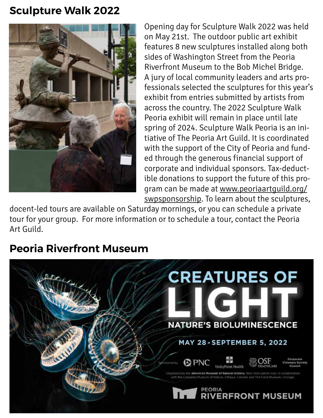#### **Sculpture Walk 2022**



Opening day for Sculpture Walk 2022 was held on May 21st. The outdoor public art exhibit features 8 new sculptures installed along both sides of Washington Street from the Peoria Riverfront Museum to the Bob Michel Bridge. A jury of local community leaders and arts professionals selected the sculptures for this year's exhibit from entries submitted by artists from across the country. The 2022 Sculpture Walk Peoria exhibit will remain in place until late spring of 2024. Sculpture Walk Peoria is an initiative of The Peoria Art Guild. It is coordinated with the support of the City of Peoria and funded through the generous financial support of corporate and individual sponsors. Tax-deductible donations to support the future of this program can be made at www.peoriaartguild.org/ swpsponsorship. To learn about the sculptures,

docent-led tours are available on Saturday mornings, or you can schedule a private tour for your group. For more information or to schedule a tour, contact the Peoria Art Guild.

### **Peoria Riverfront Museum**

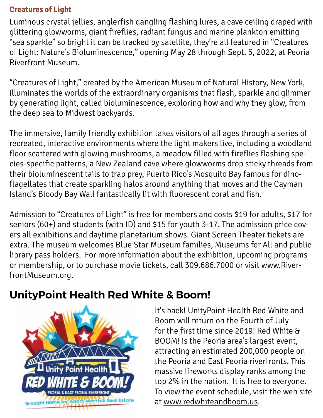#### **Creatures of Light**

Luminous crystal jellies, anglerfish dangling flashing lures, a cave ceiling draped with glittering glowworms, giant fireflies, radiant fungus and marine plankton emitting "sea sparkle" so bright it can be tracked by satellite, they're all featured in "Creatures of Light: Nature's Bioluminescence," opening May 28 through Sept. 5, 2022, at Peoria Riverfront Museum.

"Creatures of Light," created by the American Museum of Natural History, New York, illuminates the worlds of the extraordinary organisms that flash, sparkle and glimmer by generating light, called bioluminescence, exploring how and why they glow, from the deep sea to Midwest backyards.

The immersive, family friendly exhibition takes visitors of all ages through a series of recreated, interactive environments where the light makers live, including a woodland floor scattered with glowing mushrooms, a meadow filled with fireflies flashing species-specific patterns, a New Zealand cave where glowworms drop sticky threads from their bioluminescent tails to trap prey, Puerto Rico's Mosquito Bay famous for dinoflagellates that create sparkling halos around anything that moves and the Cayman Island's Bloody Bay Wall fantastically lit with fluorescent coral and fish.

Admission to "Creatures of Light" is free for members and costs \$19 for adults, \$17 for seniors (60+) and students (with ID) and \$15 for youth 3-17. The admission price covers all exhibitions and daytime planetarium shows. Giant Screen Theater tickets are extra. The museum welcomes Blue Star Museum families, Museums for All and public library pass holders. For more information about the exhibition, upcoming programs or membership, or to purchase movie tickets, call 309.686.7000 or visit www.RiverfrontMuseum.org.

### **UnityPoint Health Red White & Boom!**



It's back! UnityPoint Health Red White and Boom will return on the Fourth of July for the first time since 2019! Red White & BOOM! is the Peoria area's largest event, attracting an estimated 200,000 people on the Peoria and East Peoria riverfronts. This massive fireworks display ranks among the top 2% in the nation. It is free to everyone. To view the event schedule, visit the web site at www.redwhiteandboom.us.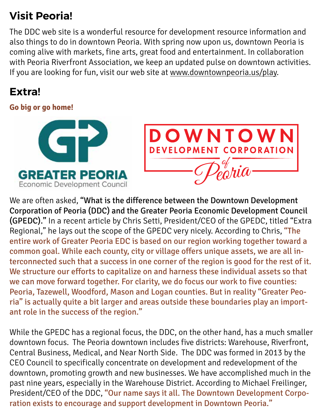### **Visit Peoria!**

The DDC web site is a wonderful resource for development resource information and also things to do in downtown Peoria. With spring now upon us, downtown Peoria is coming alive with markets, fine arts, great food and entertainment. In collaboration with Peoria Riverfront Association, we keep an updated pulse on downtown activities. If you are looking for fun, visit our web site at www.downtownpeoria.us/play.

### **Extra!**

#### **Go big or go home!**





We are often asked, "What is the difference between the Downtown Development Corporation of Peoria (DDC) and the Greater Peoria Economic Development Council (GPEDC)." In a recent article by Chris Setti, President/CEO of the GPEDC, titled "Extra Regional," he lays out the scope of the GPEDC very nicely. According to Chris, "The entire work of Greater Peoria EDC is based on our region working together toward a common goal. While each county, city or village offers unique assets, we are all interconnected such that a success in one corner of the region is good for the rest of it. We structure our efforts to capitalize on and harness these individual assets so that we can move forward together. For clarity, we do focus our work to five counties: Peoria, Tazewell, Woodford, Mason and Logan counties. But in reality "Greater Peoria" is actually quite a bit larger and areas outside these boundaries play an important role in the success of the region."

While the GPEDC has a regional focus, the DDC, on the other hand, has a much smaller downtown focus. The Peoria downtown includes five districts: Warehouse, Riverfront, Central Business, Medical, and Near North Side. The DDC was formed in 2013 by the CEO Council to specifically concentrate on development and redevelopment of the downtown, promoting growth and new businesses. We have accomplished much in the past nine years, especially in the Warehouse District. According to Michael Freilinger, President/CEO of the DDC, "Our name says it all. The Downtown Development Corporation exists to encourage and support development in Downtown Peoria."